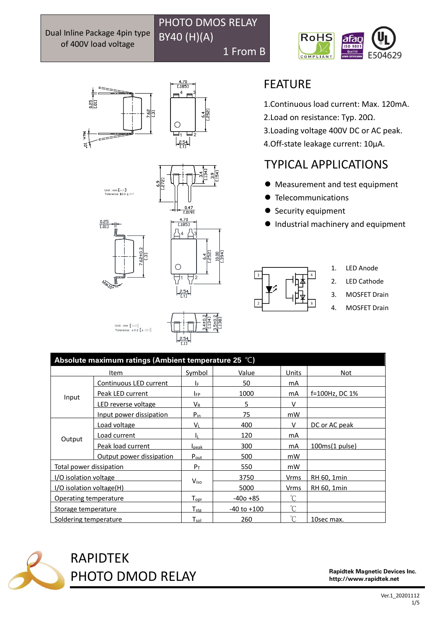u<br>T

 $\frac{0.25}{0.011}$ 





PHOTO DMOS RELAY

1 From B

BY40 (H)(A)



u<br>T



1.Continuous load current: Max. 120mA.

- 2.Load on resistance: Typ. 20Ω.
- 3.Loading voltage 400V DC or AC peak.
- 4.Off-state leakage current: 10μA.

# TYPICAL APPLICATIONS

- ⚫ Measurement and test equipment
- ⚫ Telecommunications
- Security equipment
- Industrial machinery and equipment



- 1. LED Anode
- 2. LED Cathode
- 3. MOSFET Drain
- 4. MOSFET Drain

| Absolute maximum ratings (Ambient temperature 25 °C) |                          |                             |                 |                 |                |  |
|------------------------------------------------------|--------------------------|-----------------------------|-----------------|-----------------|----------------|--|
| Item                                                 |                          | Symbol                      | Value           | Units           | Not            |  |
| Input                                                | Continuous LED current   | l۴.                         | 50              | mA              |                |  |
|                                                      | Peak LED current         | IFP                         | 1000            | mA              | f=100Hz, DC 1% |  |
|                                                      | LED reverse voltage      | $V_{R}$                     | 5               | V               |                |  |
|                                                      | Input power dissipation  | $P_{in}$                    | 75              | mW              |                |  |
| Output                                               | Load voltage             | VL                          | 400             | v               | DC or AC peak  |  |
|                                                      | Load current             |                             | 120             | mA              |                |  |
|                                                      | Peak load current        | <b>I</b> peak               | 300             | mA              | 100ms(1 pulse) |  |
|                                                      | Output power dissipation | $P_{out}$                   | 500             | mW              |                |  |
| Total power dissipation                              |                          | $P_T$                       | 550             | mW              |                |  |
| I/O isolation voltage                                |                          | Viso                        | 3750            | Vrms            | RH 60, 1min    |  |
| I/O isolation voltage(H)                             |                          |                             | 5000            | Vrms            | RH 60, 1min    |  |
| Operating temperature                                |                          | $T_{\mathsf{oor}}$          | -40o +85        | n°              |                |  |
| Storage temperature                                  |                          | $T_{\rm stg}$               | $-40$ to $+100$ | $\rm ^{\circ}C$ |                |  |
| Soldering temperature                                |                          | $\mathsf{T}_{\mathsf{sol}}$ | 260             | $^{\circ}C$     | 10sec max.     |  |



RAPIDTEK PHOTO DMOD RELAY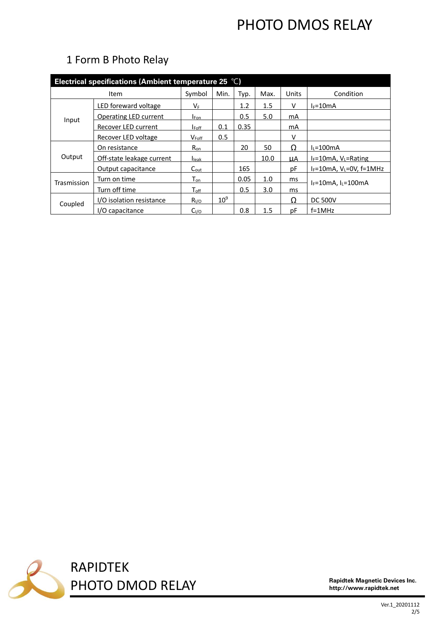| Electrical specifications (Ambient temperature 25 $^{\circ}$ C) |                              |                             |                 |      |         |       |                                  |  |
|-----------------------------------------------------------------|------------------------------|-----------------------------|-----------------|------|---------|-------|----------------------------------|--|
| Item                                                            |                              | Symbol                      | Min.            | Typ. | Max.    | Units | Condition                        |  |
| Input                                                           | LED foreward voltage         | Vғ.                         |                 | 1.2  | $1.5\,$ | v     | $I_F = 10mA$                     |  |
|                                                                 | <b>Operating LED current</b> | <b>I</b> Fon                |                 | 0.5  | 5.0     | mA    |                                  |  |
|                                                                 | Recover LED current          | <b>I</b> Foff               | 0.1             | 0.35 |         | mA    |                                  |  |
|                                                                 | Recover LED voltage          | $V_{\text{Foff}}$           | 0.5             |      |         | v     |                                  |  |
| Output                                                          | On resistance                | $R_{on}$                    |                 | 20   | 50      | Ω     | $I_L = 100$ mA                   |  |
|                                                                 | Off-state leakage current    | <b>I</b> leak               |                 |      | 10.0    | uА    | $I_F = 10mA$ , $V_L = Rating$    |  |
|                                                                 | Output capacitance           | $C_{\text{out}}$            |                 | 165  |         | рF    | $I_F=10$ mA, $V_L=0V$ , $f=1MHz$ |  |
| Trasmission                                                     | Turn on time                 | $\mathsf{T}_{\mathsf{on}}$  |                 | 0.05 | 1.0     | ms    | $I_F = 10mA$ , $I_L = 100mA$     |  |
|                                                                 | Turn off time                | $\mathsf{T}_{\mathsf{off}}$ |                 | 0.5  | 3.0     | ms    |                                  |  |
| Coupled                                                         | I/O isolation resistance     | R <sub>I/O</sub>            | 10 <sup>9</sup> |      |         | Ω     | <b>DC 500V</b>                   |  |
|                                                                 | I/O capacitance              | C <sub>I/O</sub>            |                 | 0.8  | 1.5     | рF    | $f=1$ MHz                        |  |

## 1 Form B Photo Relay

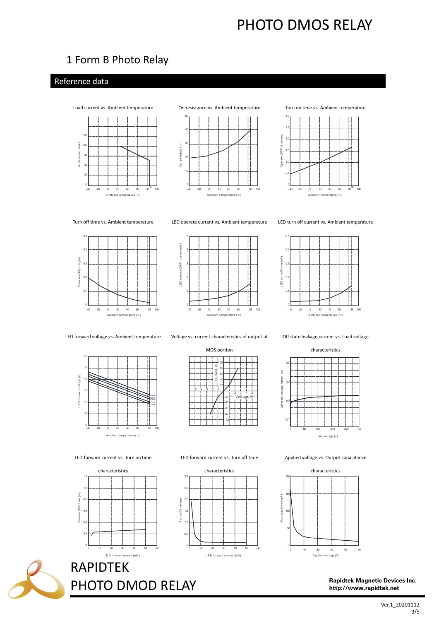### 1 Form B Photo Relay

### Reference data









Turn off time vs. Ambient temperature LED operate current vs. Ambient temperature LED turn off current vs. Ambient temperature





LED forward voltage vs. Ambient temperature Voltage vs. current characteristics of output at

ward voltage (V)  $\overline{1}$ F<sub>D</sub> for A mbi ent t emperature (c)

MOS portion

ŗ

rent

2 4

ν





Applied voltage vs. Output capacitance



LED forward current vs. Turn on time





LED forward current vs. Turn off time

Rapidtek Magnetic Devices Inc. http://www.rapidtek.net

#### $1.2$ characteristics



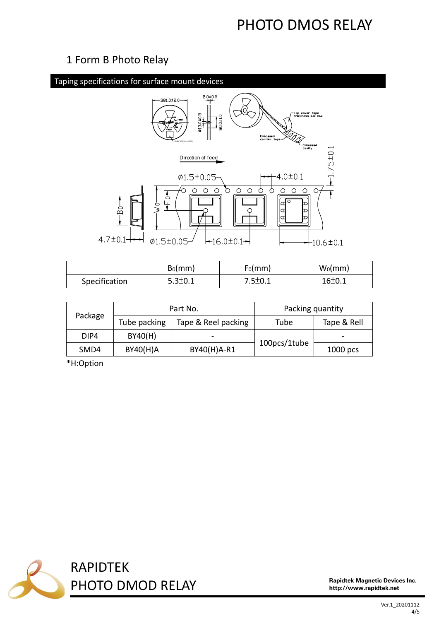### 1 Form B Photo Relay



|               | $B_0$ (mm)    | $F_0$ (mm)    | $W_0$ (mm) |
|---------------|---------------|---------------|------------|
| Specification | $5.3 \pm 0.1$ | $7.5 \pm 0.1$ | $16\pm0.1$ |

| Package |              | Part No.            | Packing quantity |             |  |
|---------|--------------|---------------------|------------------|-------------|--|
|         | Tube packing | Tape & Reel packing | Tube             | Tape & Rell |  |
| DIP4    | BY40(H)      |                     |                  | -           |  |
| SMD4    | BY40(H)A     | BY40(H)A-R1         | 100pcs/1tube     | $1000$ pcs  |  |

\*H:Option